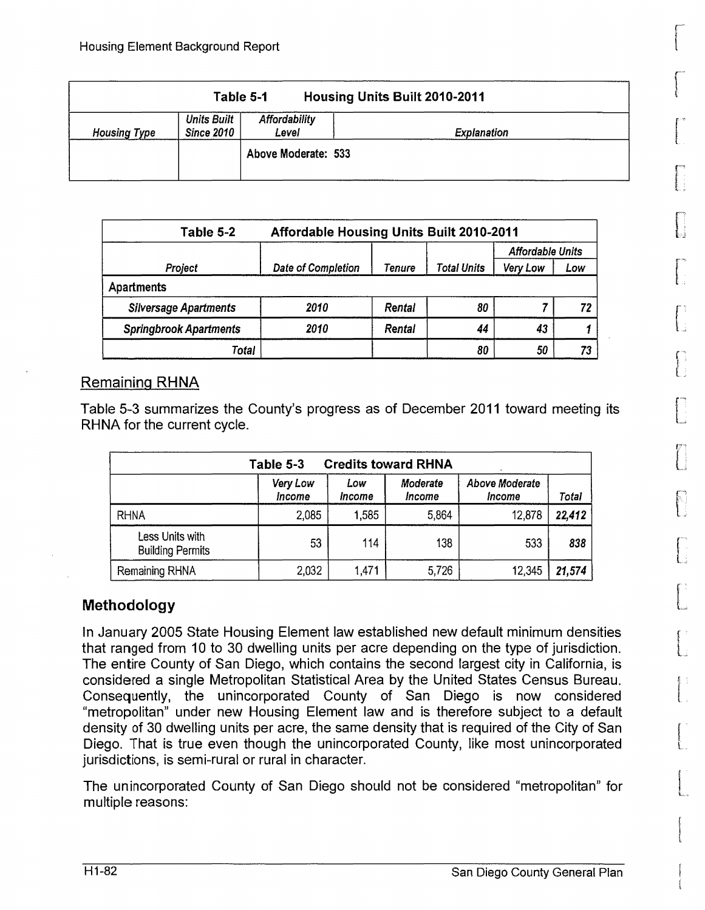|                     |                           | Table 5-1              | <b>Housing Units Built 2010-2011</b> |
|---------------------|---------------------------|------------------------|--------------------------------------|
| <b>Housing Type</b> | Units Built<br>Since 2010 | Affordability<br>Level | <b>Explanation</b>                   |
|                     |                           | Above Moderate: 533    |                                      |

| Table 5-2                     | <b>Affordable Housing Units Built 2010-2011</b> |        |             |                         |     |  |  |  |  |
|-------------------------------|-------------------------------------------------|--------|-------------|-------------------------|-----|--|--|--|--|
|                               |                                                 |        |             | <b>Affordable Units</b> |     |  |  |  |  |
| Project                       | Date of Completion                              | Tenure | Total Units | Very Low                | Low |  |  |  |  |
| Apartments                    |                                                 |        |             |                         |     |  |  |  |  |
| <b>Silversage Apartments</b>  | 2010                                            | Rental | 80          |                         |     |  |  |  |  |
| <b>Springbrook Apartments</b> | 2010                                            | Rental | 44          | 43                      |     |  |  |  |  |
| Total                         |                                                 |        | 80          | 50                      |     |  |  |  |  |

## Remaining **RHNA**

Table 5-3 summarizes the County's progress as of December 2011 toward meeting its [ RHNA for the current cycle.

|                                            | Table 5-3          |               | <b>Credits toward RHNA</b> |                          |        |
|--------------------------------------------|--------------------|---------------|----------------------------|--------------------------|--------|
|                                            | Very Low<br>Income | Low<br>Income | Moderate<br><i>Income</i>  | Above Moderate<br>Income | Total  |
| <b>RHNA</b>                                | 2,085              | 1.585         | 5.864                      | 12,878                   | 22,412 |
| Less Units with<br><b>Building Permits</b> | 53                 | 114           | 138                        | 533                      | 838    |
| Remaining RHNA                             | 2,032              | 1,471         | 5,726                      | 12,345                   | 21,574 |

# **Methodology** L

In January 2005 State Housing Element law established new default minimum densities that ranged from 10 to 30 dwelling units per acre depending on the type of jurisdiction. The entire County of San Diego, which contains the second largest city in California, is considered a single Metropolitan Statistical Area by the United States Census Bureau. Consequently, the unincorporated County of San Diego is now considered "metropolitan" under new Housing Element law and is therefore subject to a default density of 30 dwelling units per acre, the same density that is required of the City of San Diego. That is true even though the unincorporated County, like most unincorporated jurisdictions, is semi-rural or rural in character.

The unincorporated County of San Diego should not be considered "metropolitan" for multiple reasons: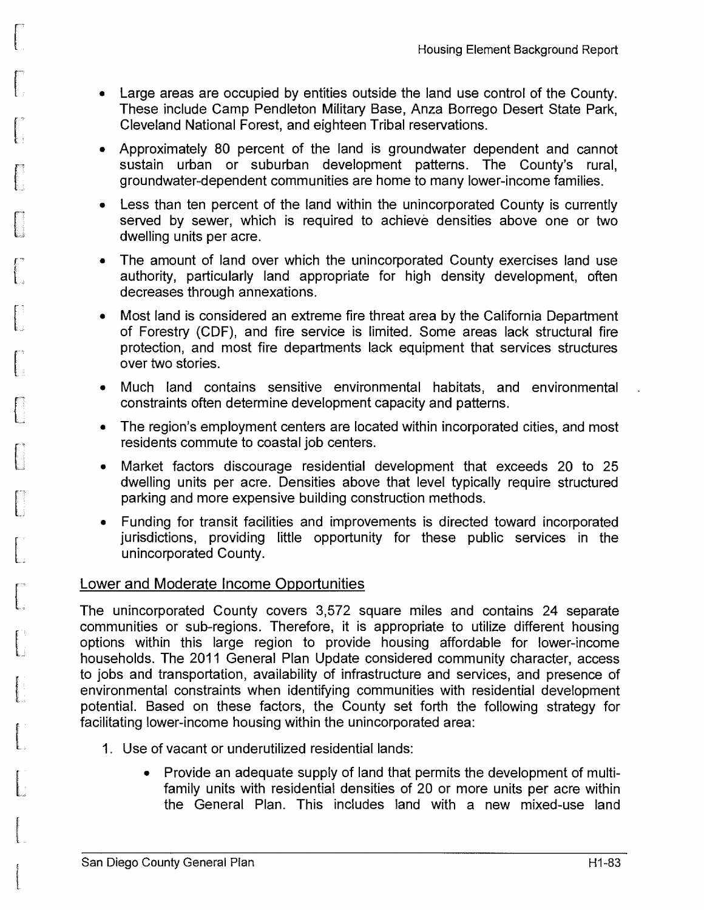- Large areas are occupied by entities outside the land use control of the County. These include Camp Pendleton Military Base, Anza Borrego Desert State Park, Cleveland National Forest, and eighteen Tribal reservations.
- Approximately 80 percent of the land is groundwater dependent and cannot sustain urban or suburban development patterns. The County's rural, groundwater-dependent communities are home to many lower-income families.
- Less than ten percent of the land within the unincorporated County is currently served by sewer, which is required to achieve densities above one or two dwelling units per acre.
- The amount of land over which the unincorporated County exercises land use authority, particularly land appropriate for high density development, often decreases through annexations.
- Most land is considered an extreme fire threat area by the California Department of Forestry (CDF), and fire service is limited. Some areas lack structural fire protection, and most fire departments lack equipment that services structures over two stories.
- Much land contains sensitive environmental habitats, and environmental constraints often determine development capacity and patterns.
- The region's employment centers are located within incorporated cities, and most residents commute to coastal job centers.
- Market factors discourage residential development that exceeds 20 to 25 dwelling units per acre. Densities above that level typically require structured parking and more expensive building construction methods.
- Funding for transit facilities and improvements is directed toward incorporated jurisdictions, providing little opportunity for these public services in the unincorporated County.

### Lower and Moderate Income Opportunities

f' L,

 $\int$ 

.,

\_..;

L.;

L

L

The unincorporated County covers 3,572 square miles and contains 24 separate communities or sub-regions. Therefore, it is appropriate to utilize different housing options within this large region to provide housing affordable for lower-income households. The 2011 General Plan Update considered community character, access to jobs and transportation, availability of infrastructure and services, and presence of environmental constraints when identifying communities with residential development potential. Based on these factors, the County set forth the following strategy for facilitating lower-income housing within the unincorporated area:

- 1. Use of vacant or underutilized residential lands:
	- Provide an adequate supply of land that permits the development of multifamily units with residential densities of 20 or more units per acre within the General Plan. This includes land with a new mixed-use land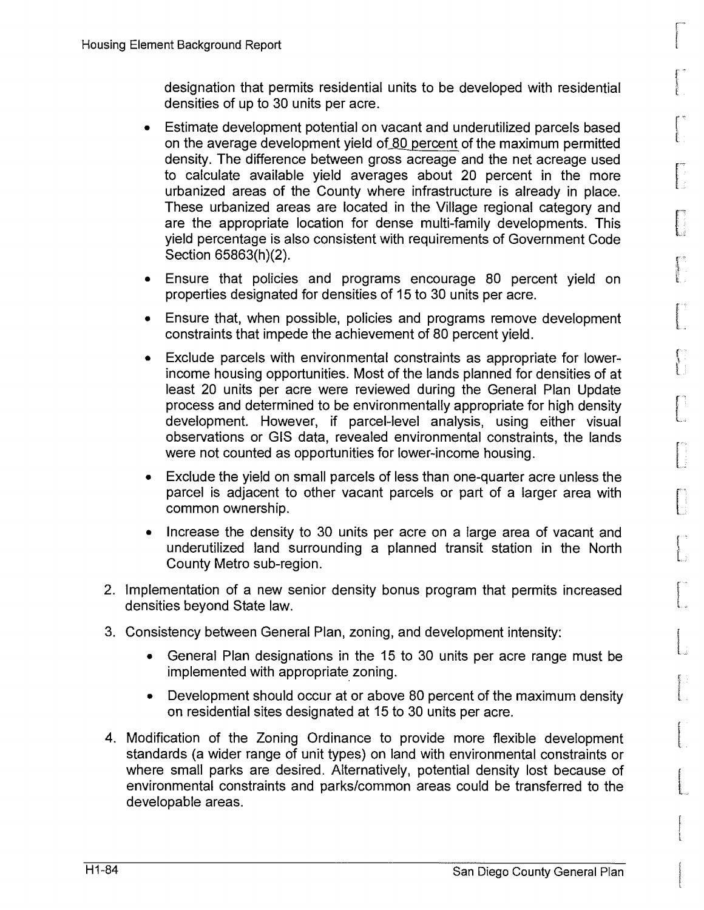designation that permits residential units to be developed with residential densities of up to 30 units per acre.

- Estimate development potential on vacant and underutilized parcels based on the average development yield of 80 percent of the maximum permitted density. The difference between gross acreage and the net acreage used to calculate available yield averages about 20 percent in the more urbanized areas of the County where infrastructure is already in place. These urbanized areas are located in the Village regional category and are the appropriate location for dense multi-family developments. This yield percentage is also consistent with requirements of Government Code Section 65863(h)(2).
- Ensure that policies and programs encourage 80 percent yield on properties designated for densities of 15 to 30 units per acre.
- Ensure that, when possible, policies and programs remove development constraints that impede the achievement of 80 percent yield.
- Exclude parcels with environmental constraints as appropriate for lowerincome housing opportunities. Most of the lands planned for densities of at least 20 units per acre were reviewed during the General Plan Update process and determined to be environmentally appropriate for high density development. However, if parcel-level analysis, using either visual observations or GIS data, revealed environmental constraints, the lands were not counted as opportunities for lower-income housing.
- Exclude the yield on small parcels of less than one-quarter acre unless the parcel is adjacent to other vacant parcels or part of a larger area with common ownership.
- Increase the density to 30 units per acre on a large area of vacant and underutilized land surrounding a planned transit station in the North County Metro sub-region.
- 2. Implementation of a new senior density bonus program that permits increased densities beyond State law.
- 3. Consistency between General Plan, zoning, and development intensity:
	- General Plan designations in the 15 to 30 units per acre range must be implemented with appropriate zoning.
	- Development should occur at or above 80 percent of the maximum density on residential sites designated at 15 to 30 units per acre.
- 4. Modification of the Zoning Ordinance to provide more flexible development standards (a wider range of unit types) on land with environmental constraints or where small parks are desired. Alternatively, potential density lost because of environmental constraints and parks/common areas could be transferred to the developable areas.

[;

**.** .

 $\left( \begin{array}{c} 0 \\ 0 \\ 0 \end{array} \right)$ 

 $\mathbb{L}$ 

 $\mathfrak{f}^*$ 

L,

 $\, \cdot \,$ L,

f<br>Francesco<br>L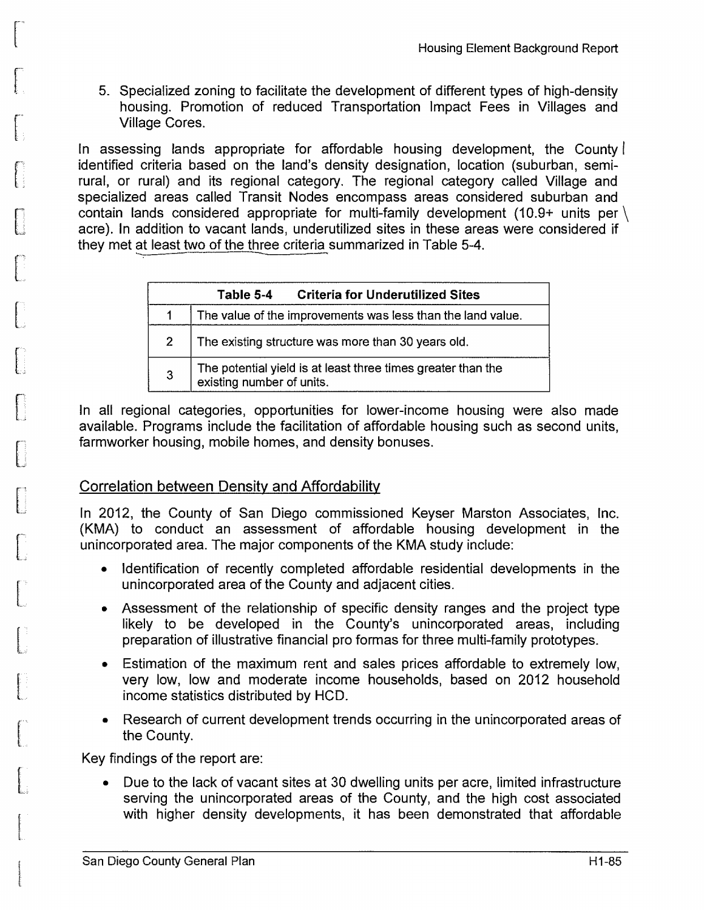5. Specialized zoning to facilitate the development of different types of high-density housing. Promotion of reduced Transportation Impact Fees in Villages and Village Cores.

In assessing lands appropriate for affordable housing development, the County identified criteria based on the land's density designation, location (suburban, semirural, or rural) and its regional category. The regional category called Village and specialized areas called Transit Nodes encompass areas considered suburban and contain lands considered appropriate for multi-family development (10.9+ units per \ acre). In addition to vacant lands, underutilized sites in these areas were considered if they met at least two of the three criteria summarized in Table 5-4.

|              | <b>Criteria for Underutilized Sites</b><br>Table 5-4                                      |
|--------------|-------------------------------------------------------------------------------------------|
|              | The value of the improvements was less than the land value.                               |
| $\mathbf{2}$ | The existing structure was more than 30 years old.                                        |
| 3            | The potential yield is at least three times greater than the<br>existing number of units. |

In all regional categories, opportunities for lower-income housing were also made available. Programs include the facilitation of affordable housing such as second units, farmworker housing, mobile homes, and density bonuses.

### Correlation between Density and Affordability

In 2012, the County of San Diego commissioned Keyser Marston Associates, Inc. (KMA) to conduct an assessment of affordable housing development in the unincorporated area. The major components of the KMA study include:

- Identification of recently completed affordable residential developments in the unincorporated area of the County and adjacent cities.
- Assessment of the relationship of specific density ranges and the project type likely to be developed in the County's unincorporated areas, including preparation of illustrative financial pro formas for three multi-family prototypes.
- Estimation of the maximum rent and sales prices affordable to extremely low, very low, low and moderate income households, based on 2012 household income statistics distributed by HCD.
- Research of current development trends occurring in the unincorporated areas of the County.

Key findings of the report are:

• Due to the lack of vacant sites at 30 dwelling units per acre, limited infrastructure serving the unincorporated areas of the County, and the high cost associated with higher density developments, it has been demonstrated that affordable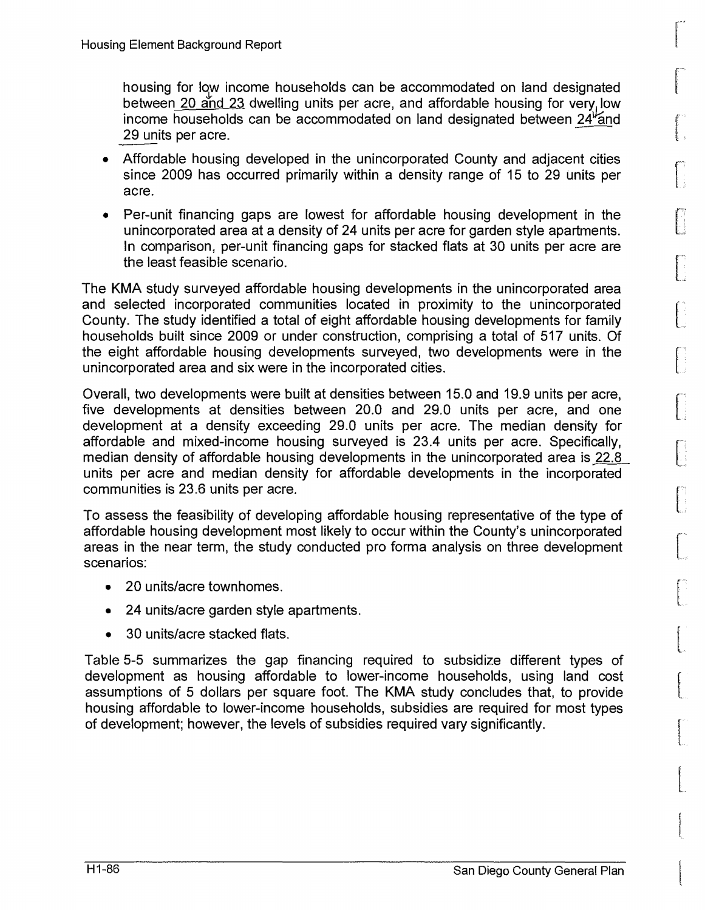housing for low income households can be accommodated on land designated between 20 and 23 dwelling units per acre, and affordable housing for very low income households can be accommodated on land designated between  $24<sup>\frac{1}{2}</sup>$  and 29 units per acre.

- Affordable housing developed in the unincorporated County and adjacent cities since 2009 has occurred primarily within a density range of 15 to 29 units per acre.
- Per-unit financing gaps are lowest for affordable housing development in the unincorporated area at a density of 24 units per acre for garden style apartments. In comparison, per-unit financing gaps for stacked flats at 30 units per acre are the least feasible scenario.

The KMA study surveyed affordable housing developments in the unincorporated area and selected incorporated communities located in proximity to the unincorporated County. The study identified a total of eight affordable housing developments for family households built since 2009 or under construction, comprising a total of 517 units. Of the eight affordable housing developments surveyed, two developments were in the unincorporated area and six were in the incorporated cities.

Overall, two developments were built at densities between 15.0 and 19.9 units per acre, five developments at densities between 20.0 and 29.0 units per acre, and one development at a density exceeding 29.0 units per acre. The median density for affordable and mixed-income housing surveyed is 23.4 units per acre. Specifically, median density of affordable housing developments in the unincorporated area is 22.8 units per acre and median density for affordable developments in the incorporated communities is 23.6 units per acre.

To assess the feasibility of developing affordable housing representative of the type of affordable housing development most likely to occur within the County's unincorporated areas in the near term, the study conducted pro forma analysis on three development scenarios:

- 20 units/acre townhomes.
- 24 units/acre garden style apartments.
- 30 units/acre stacked flats.

Table 5-5 summarizes the gap financing required to subsidize different types of development as housing affordable to lower-income households, using land cost assumptions of 5 dollars per square foot. The KMA study concludes that, to provide housing affordable to lower-income households, subsidies are required for most types of development; however, the levels of subsidies required vary significantly.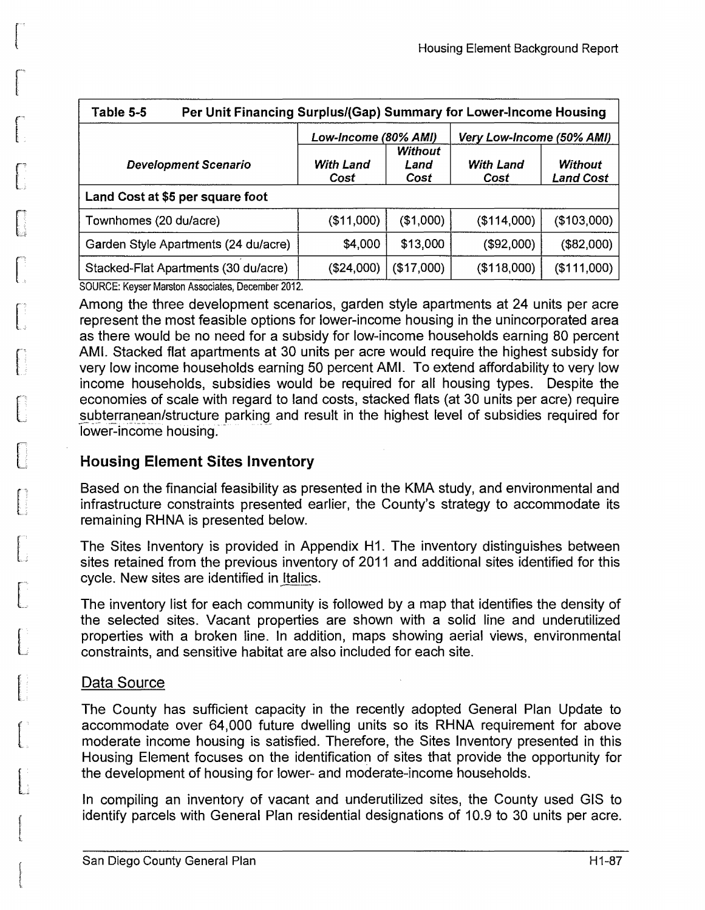|                   |                         | Very Low-Income (50% AMI) |                                                                   |  |  |  |  |
|-------------------|-------------------------|---------------------------|-------------------------------------------------------------------|--|--|--|--|
| With Land<br>Cost | Without<br>Land<br>Cost | <b>With Land</b><br>Cost  | <b>Without</b><br><b>Land Cost</b>                                |  |  |  |  |
|                   |                         |                           |                                                                   |  |  |  |  |
| (\$11,000)        | ( \$1,000)              | (\$114,000)               | (\$103,000)                                                       |  |  |  |  |
| \$4,000           | \$13,000                | (\$92,000)                | ( \$82,000)                                                       |  |  |  |  |
| (\$24,000)        | (\$17,000)              | (\$118,000)               | (\$111,000)                                                       |  |  |  |  |
|                   |                         | Low-Income (80% AMI)      | Per Unit Financing Surplus/(Gap) Summary for Lower-Income Housing |  |  |  |  |

Among the three development scenarios, garden style apartments at 24 units per acre represent the most feasible options for lower-income housing in the unincorporated area as there would be no need for a subsidy for low-income households earning 80 percent AMI. Stacked flat apartments at 30 units per acre would require the highest subsidy for very low income households earning 50 percent AMI. To extend affordability to very low income households, subsidies would be required for all housing types. Despite the economies of scale with regard to land costs, stacked flats (at 30 units per acre) require subterranean/structure parking and result in the highest level of subsidies required for lower-income housing.

### **Housing Element Sites Inventory**

Based on the financial feasibility as presented in the KMA study, and environmental and infrastructure constraints presented earlier, the County's strategy to accommodate its remaining RHNA is presented below.

The Sites Inventory is provided in Appendix H1. The inventory distinguishes between sites retained from the previous inventory of 2011 and additional sites identified for this cycle. New sites are identified in Italics.

The inventory list for each community is followed by a map that identifies the density of the selected sites. Vacant properties are shown with a solid line and underutilized properties with a broken line. In addition, maps showing aerial views, environmental constraints, and sensitive habitat are also included for each site.

### Data Source

L

n u

L.,

L:

 $\int$ 

 $\mathbb{R}^+$ 

L.,

 $\mathbf{r}$ 

 $\begin{bmatrix} 1 & 1 \\ 1 & 1 \end{bmatrix}$ 

f t

r·

The County has sufficient capacity in the recently adopted General Plan Update to accommodate over 64,000 future dwelling units so its RHNA requirement for above moderate income housing is satisfied. Therefore, the Sites Inventory presented in this Housing Element focuses on the identification of sites that provide the opportunity for the development of housing for lower- and moderate-income households.

In compiling an inventory of vacant and underutilized sites, the County used GIS to identify parcels with General Plan residential designations of 10.9 to 30 units per acre.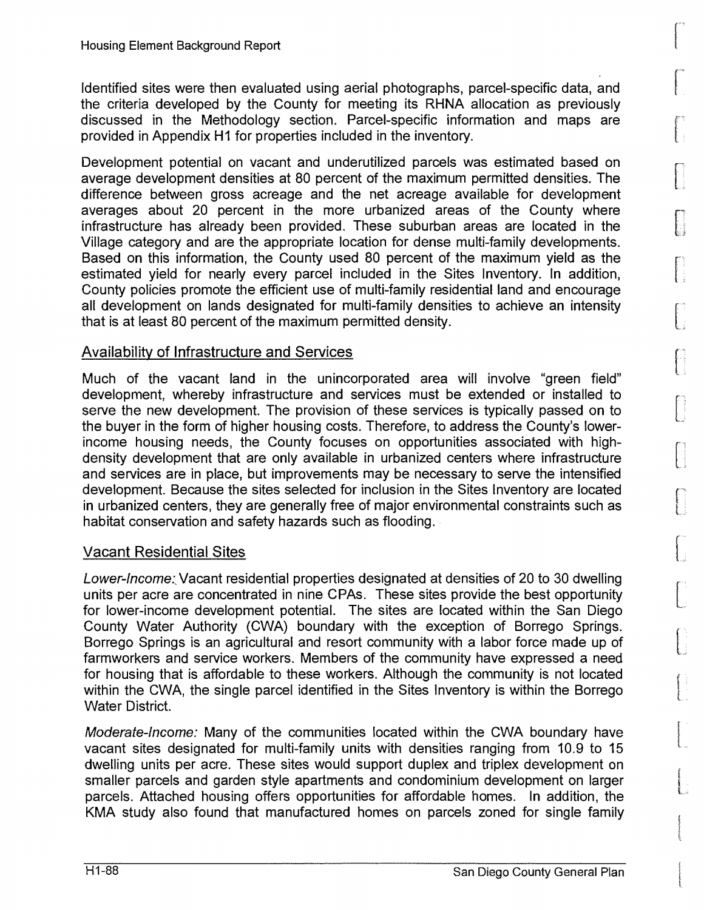Identified sites were then evaluated using aerial photographs, parcel-specific data, and the criteria developed by the County for meeting its RHNA allocation as previously discussed in the Methodology section. Parcel-specific information and maps are provided in Appendix H1 for properties included in the inventory.

Development potential on vacant and underutilized parcels was estimated based on average development densities at 80 percent of the maximum permitted densities. The difference between gross acreage and the net acreage available for development averages about 20 percent in the more urbanized areas of the County where infrastructure has already been provided. These suburban areas are located in the Village category and are the appropriate location for dense multi-family developments. Based on this information, the County used 80 percent of the maximum yield as the estimated yield for nearly every parcel included in the Sites Inventory. In addition, County policies promote the efficient use of multi-family residential land and encourage all development on lands designated for multi-family densities to achieve an intensity that is at least 80 percent of the maximum permitted density.

### Availability of Infrastructure and Services

Much of the vacant land in the unincorporated area will involve "green field" development, whereby infrastructure and services must be extended or installed to serve the new development. The provision of these services is typically passed on to the buyer in the form of higher housing costs. Therefore, to address the County's lowerincome housing needs, the County focuses on opportunities associated with highdensity development that are only available in urbanized centers where infrastructure and services are in place, but improvements may be necessary to serve the intensified development. Because the sites selected for inclusion in the Sites Inventory are located in urbanized centers, they are generally free of major environmental constraints such as habitat conservation and safety hazards such as flooding.

#### Vacant Residential Sites

Lower-Income: Vacant residential properties designated at densities of 20 to 30 dwelling units per acre are concentrated in nine CPAs. These sites provide the best opportunity for lower-income development potential. The sites are located within the San Diego County Water Authority (CWA) boundary with the exception of Borrego Springs. Borrego Springs is an agricultural and resort community with a labor force made up of farmworkers and service workers. Members of the community have expressed a need for housing that is affordable to these workers. Although the community is not located within the CWA, the single parcel identified in the Sites Inventory is within the Borrego Water District.

Moderate-Income: Many of the communities located within the CWA boundary have vacant sites designated for multi-family units with densities ranging from 10.9 to 15 dwelling units per acre. These sites would support duplex and triplex development on smaller parcels and garden style apartments and condominium development on larger parcels. Attached housing offers opportunities for affordable homes. In addition, the KMA study also found that manufactured homes on parcels zoned for single family  $\overline{\mathcal{L}}$ . '~

 $\begin{bmatrix} \phantom{-} \end{bmatrix}$ 

·.,, .l.

 $\bigcap$ 

: إ

 $\begin{bmatrix} \phantom{-} \ \phantom{-} \ \phantom{-} \end{bmatrix}$ 

.. ;

 $\begin{pmatrix} 1 \\ 1 \\ 1 \end{pmatrix}$ 

f<br>Francesco<br>Francesco l

**[**<br>|-<br>|-<br>|-

files and L.

! t